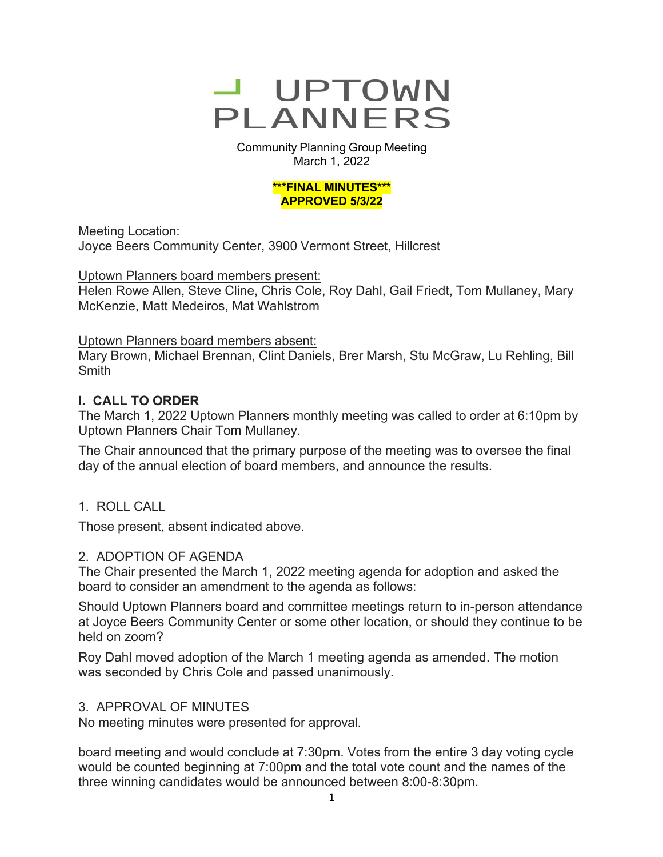

Community Planning Group Meeting March 1, 2022

#### **\*\*\*FINAL MINUTES\*\*\* APPROVED 5/3/22**

Meeting Location: Joyce Beers Community Center, 3900 Vermont Street, Hillcrest

### Uptown Planners board members present:

Helen Rowe Allen, Steve Cline, Chris Cole, Roy Dahl, Gail Friedt, Tom Mullaney, Mary McKenzie, Matt Medeiros, Mat Wahlstrom

### Uptown Planners board members absent:

Mary Brown, Michael Brennan, Clint Daniels, Brer Marsh, Stu McGraw, Lu Rehling, Bill **Smith** 

## **I. CALL TO ORDER**

The March 1, 2022 Uptown Planners monthly meeting was called to order at 6:10pm by Uptown Planners Chair Tom Mullaney.

The Chair announced that the primary purpose of the meeting was to oversee the final day of the annual election of board members, and announce the results.

## 1. ROLL CALL

Those present, absent indicated above.

### 2. ADOPTION OF AGENDA

The Chair presented the March 1, 2022 meeting agenda for adoption and asked the board to consider an amendment to the agenda as follows:

Should Uptown Planners board and committee meetings return to in-person attendance at Joyce Beers Community Center or some other location, or should they continue to be held on zoom?

Roy Dahl moved adoption of the March 1 meeting agenda as amended. The motion was seconded by Chris Cole and passed unanimously.

### 3. APPROVAL OF MINUTES

No meeting minutes were presented for approval.

board meeting and would conclude at 7:30pm. Votes from the entire 3 day voting cycle would be counted beginning at 7:00pm and the total vote count and the names of the three winning candidates would be announced between 8:00-8:30pm.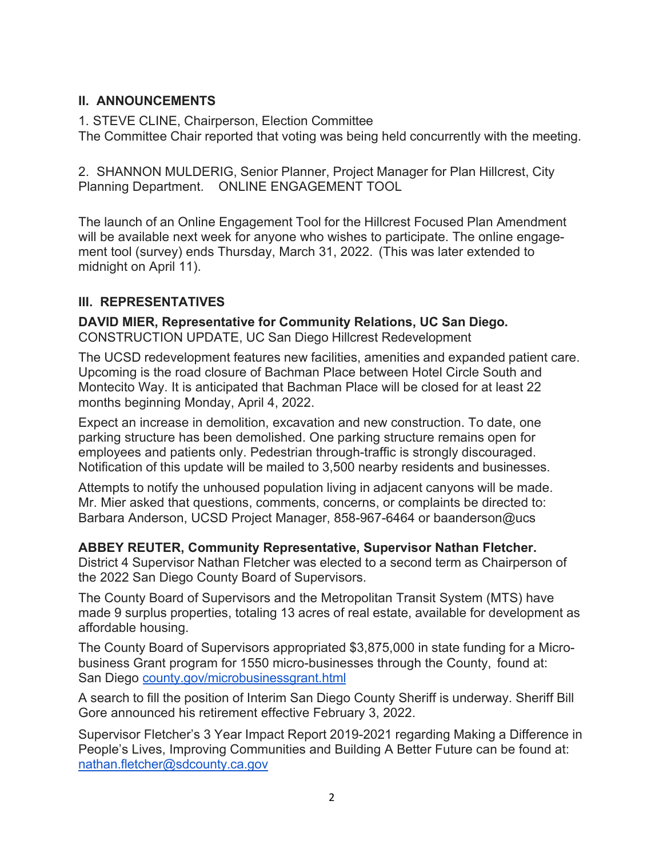# **II. ANNOUNCEMENTS**

1. STEVE CLINE, Chairperson, Election Committee The Committee Chair reported that voting was being held concurrently with the meeting.

2. SHANNON MULDERIG, Senior Planner, Project Manager for Plan Hillcrest, City Planning Department. ONLINE ENGAGEMENT TOOL

The launch of an Online Engagement Tool for the Hillcrest Focused Plan Amendment will be available next week for anyone who wishes to participate. The online engagement tool (survey) ends Thursday, March 31, 2022. (This was later extended to midnight on April 11).

# **III. REPRESENTATIVES**

**DAVID MIER, Representative for Community Relations, UC San Diego.** CONSTRUCTION UPDATE, UC San Diego Hillcrest Redevelopment

The UCSD redevelopment features new facilities, amenities and expanded patient care. Upcoming is the road closure of Bachman Place between Hotel Circle South and Montecito Way. It is anticipated that Bachman Place will be closed for at least 22 months beginning Monday, April 4, 2022.

Expect an increase in demolition, excavation and new construction. To date, one parking structure has been demolished. One parking structure remains open for employees and patients only. Pedestrian through-traffic is strongly discouraged. Notification of this update will be mailed to 3,500 nearby residents and businesses.

Attempts to notify the unhoused population living in adjacent canyons will be made. Mr. Mier asked that questions, comments, concerns, or complaints be directed to: Barbara Anderson, UCSD Project Manager, 858-967-6464 or baanderson@ucs

## **ABBEY REUTER, Community Representative, Supervisor Nathan Fletcher.**

District 4 Supervisor Nathan Fletcher was elected to a second term as Chairperson of the 2022 San Diego County Board of Supervisors.

The County Board of Supervisors and the Metropolitan Transit System (MTS) have made 9 surplus properties, totaling 13 acres of real estate, available for development as affordable housing.

The County Board of Supervisors appropriated \$3,875,000 in state funding for a Microbusiness Grant program for 1550 micro-businesses through the County, found at: San Diego county.gov/microbusinessgrant.html

A search to fill the position of Interim San Diego County Sheriff is underway. Sheriff Bill Gore announced his retirement effective February 3, 2022.

Supervisor Fletcher's 3 Year Impact Report 2019-2021 regarding Making a Difference in People's Lives, Improving Communities and Building A Better Future can be found at: nathan.fletcher@sdcounty.ca.gov